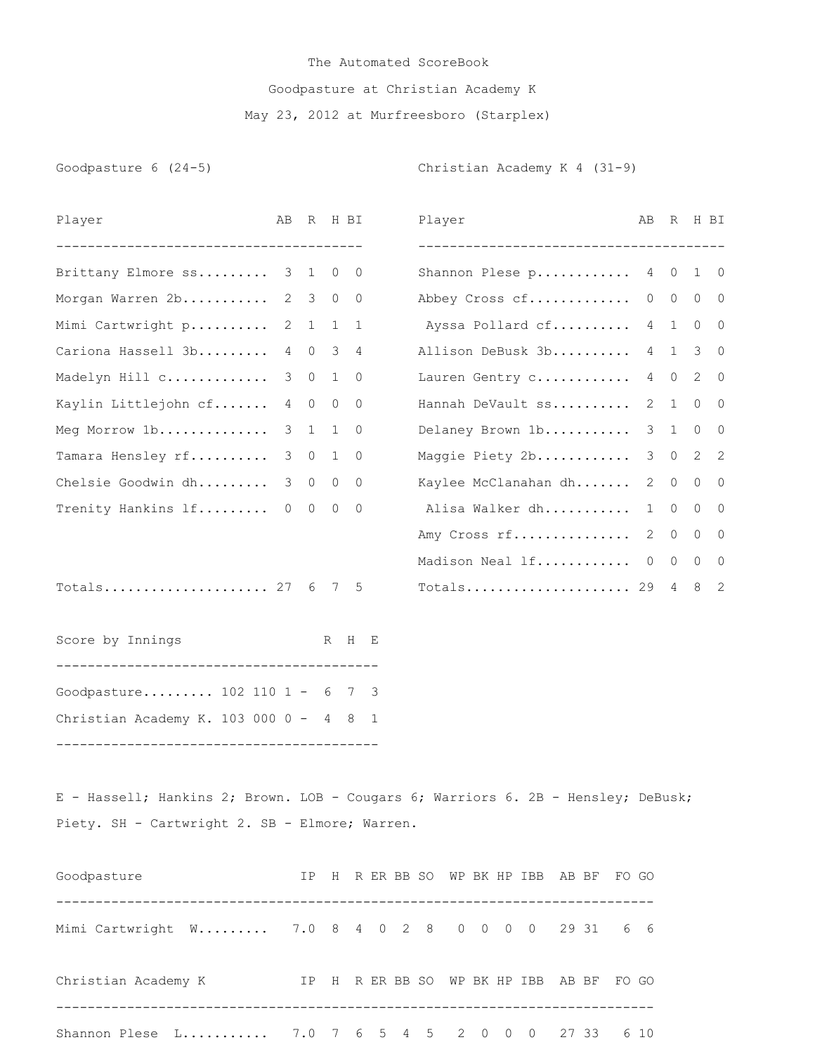## The Automated ScoreBook Goodpasture at Christian Academy K May 23, 2012 at Murfreesboro (Starplex)

Goodpasture 6 (24-5) Christian Academy K 4 (31-9)

| Player                       | AB R H BI |         |     |   | Player                               | AB |             | R H BI                      |  |
|------------------------------|-----------|---------|-----|---|--------------------------------------|----|-------------|-----------------------------|--|
|                              |           |         |     |   |                                      |    |             |                             |  |
| Brittany Elmore ss 3 1 0 0   |           |         |     |   | Shannon Plese p 4 0 1 0              |    |             |                             |  |
| Morgan Warren 2b 2 3 0 0     |           |         |     |   | Abbey Cross cf                       |    |             | $0\qquad 0\qquad 0\qquad 0$ |  |
| Mimi Cartwright p 2 1 1 1    |           |         |     |   | Ayssa Pollard cf 4 1                 |    |             | $0\qquad 0$                 |  |
| Cariona Hassell 3b 4 0 3 4   |           |         |     |   | Allison DeBusk 3b                    |    |             | 4 1 3 0                     |  |
| Madelyn Hill c 3 0 1 0       |           |         |     |   | Lauren Gentry c                      |    |             | 4 0 2 0                     |  |
| Kaylin Littlejohn cf 4 0 0 0 |           |         |     |   | Hannah DeVault ss                    |    | $2 \quad 1$ | $0\qquad$                   |  |
| Meg Morrow 1b                |           | 3 1 1 0 |     |   | Delaney Brown 1b                     |    |             | 3 1 0 0                     |  |
| Tamara Hensley rf            |           | 3 0 1 0 |     |   | Maggie Piety 2b 3 0 2 2              |    |             |                             |  |
| Chelsie Goodwin dh           |           | 3 0 0 0 |     |   | Kaylee McClanahan dh                 |    | $2 \quad 0$ | $0\quad 0$                  |  |
| Trenity Hankins 1f 0 0 0 0   |           |         |     |   | Alisa Walker dh                      | 1  | $\circ$     | $0\quad 0$                  |  |
|                              |           |         |     |   | Amy Cross rf                         |    | 2 0         | $0\quad 0$                  |  |
|                              |           |         |     |   | Madison Neal $If$ $0 \t 0 \t 0 \t 0$ |    |             |                             |  |
| Totals 27 $6$ 7 5            |           |         |     |   | Totals 29 4 8 2                      |    |             |                             |  |
| Score by Innings             |           |         | R H | E |                                      |    |             |                             |  |

Goodpasture......... 102 110 1 - 6 7 3 Christian Academy K. 103 000 0 - 4 8 1 -----------------------------------------

E - Hassell; Hankins 2; Brown. LOB - Cougars 6; Warriors 6. 2B - Hensley; DeBusk; Piety. SH - Cartwright 2. SB - Elmore; Warren.

| Goodpasture                                       |  |  |  |  |  |  | IP H R ER BB SO WP BK HP IBB AB BF FO GO |
|---------------------------------------------------|--|--|--|--|--|--|------------------------------------------|
| Mimi Cartwright W 7.0 8 4 0 2 8 0 0 0 0 29 31 6 6 |  |  |  |  |  |  |                                          |
| Christian Academy K                               |  |  |  |  |  |  | IP H RERBB SO WP BK HP IBB AB BF FO GO   |
| Shannon Plese L 7.0 7 6 5 4 5 2 0 0 0 27 33 6 10  |  |  |  |  |  |  |                                          |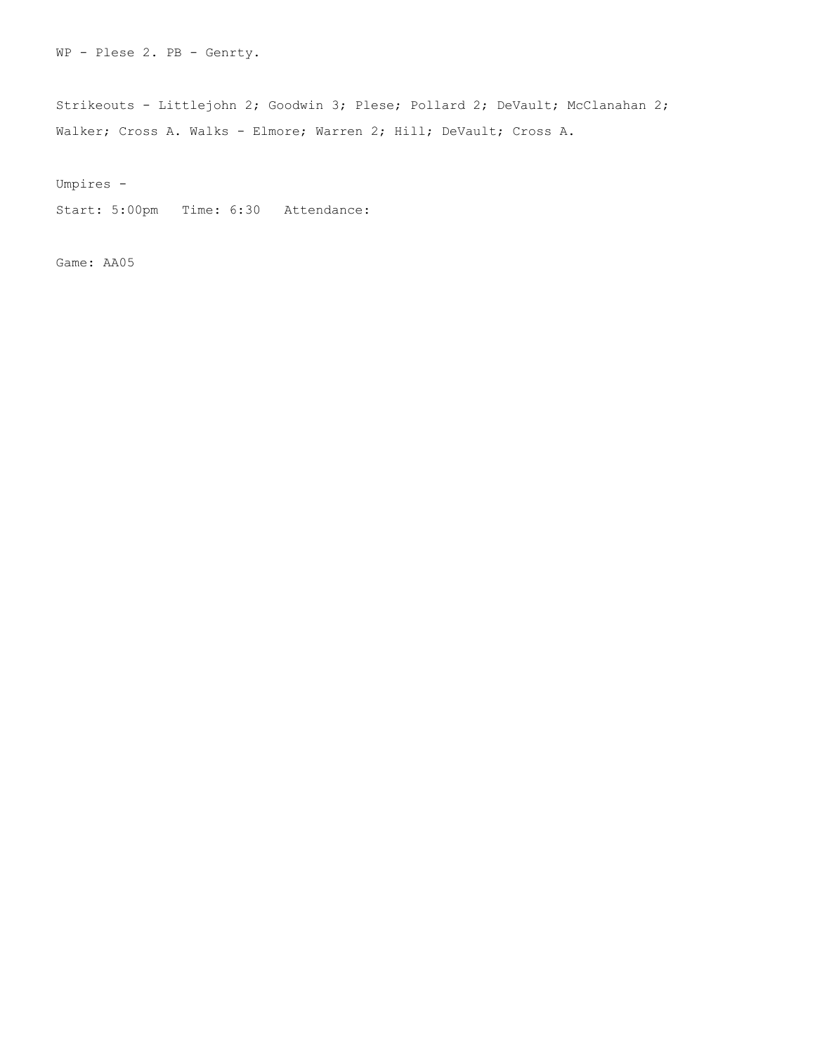WP - Plese 2. PB - Genrty.

Strikeouts - Littlejohn 2; Goodwin 3; Plese; Pollard 2; DeVault; McClanahan 2; Walker; Cross A. Walks - Elmore; Warren 2; Hill; DeVault; Cross A.

Umpires -

Start: 5:00pm Time: 6:30 Attendance:

Game: AA05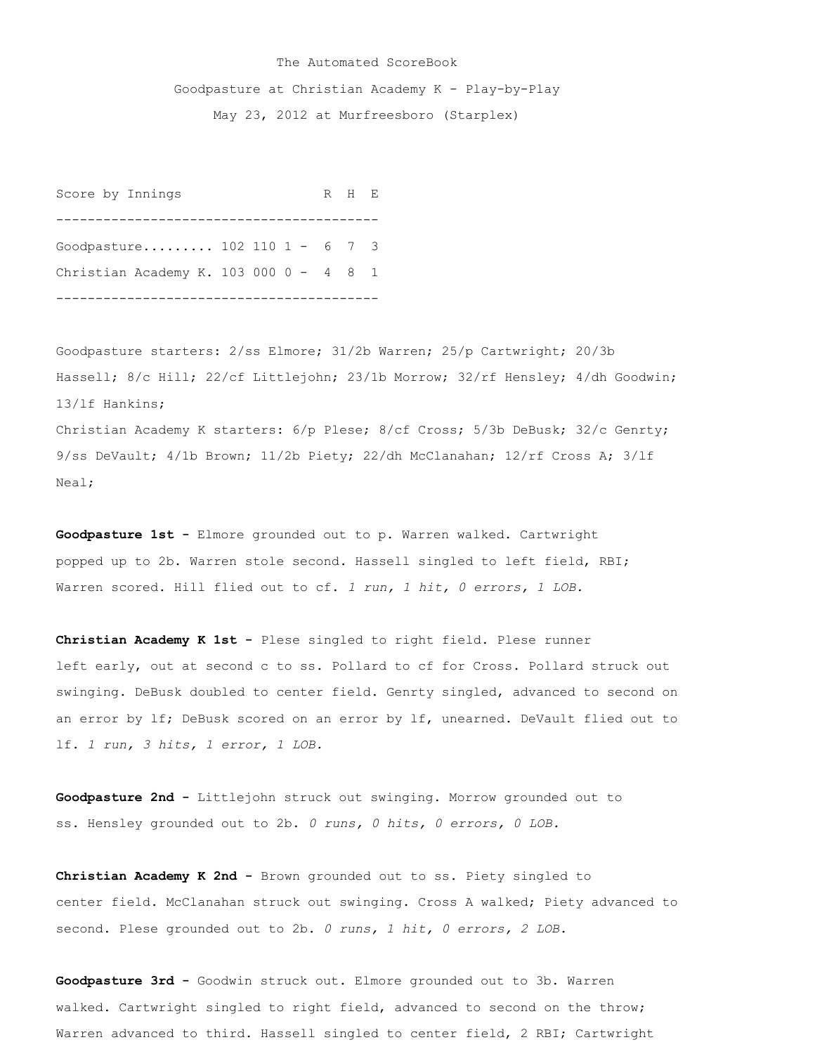## The Automated ScoreBook

Goodpasture at Christian Academy K - Play-by-Play

May 23, 2012 at Murfreesboro (Starplex)

Score by Innings R H E ----------------------------------------- Goodpasture......... 102 110 1 - 6 7 3 Christian Academy K. 103 000 0 - 4 8 1 -----------------------------------------

Goodpasture starters: 2/ss Elmore; 31/2b Warren; 25/p Cartwright; 20/3b Hassell; 8/c Hill; 22/cf Littlejohn; 23/1b Morrow; 32/rf Hensley; 4/dh Goodwin; 13/lf Hankins; Christian Academy K starters: 6/p Plese; 8/cf Cross; 5/3b DeBusk; 32/c Genrty; 9/ss DeVault; 4/1b Brown; 11/2b Piety; 22/dh McClanahan; 12/rf Cross A; 3/lf Neal;

**Goodpasture 1st -** Elmore grounded out to p. Warren walked. Cartwright popped up to 2b. Warren stole second. Hassell singled to left field, RBI; Warren scored. Hill flied out to cf. *1 run, 1 hit, 0 errors, 1 LOB.*

**Christian Academy K 1st -** Plese singled to right field. Plese runner left early, out at second c to ss. Pollard to cf for Cross. Pollard struck out swinging. DeBusk doubled to center field. Genrty singled, advanced to second on an error by lf; DeBusk scored on an error by lf, unearned. DeVault flied out to lf. *1 run, 3 hits, 1 error, 1 LOB.*

**Goodpasture 2nd -** Littlejohn struck out swinging. Morrow grounded out to ss. Hensley grounded out to 2b. *0 runs, 0 hits, 0 errors, 0 LOB.*

**Christian Academy K 2nd -** Brown grounded out to ss. Piety singled to center field. McClanahan struck out swinging. Cross A walked; Piety advanced to second. Plese grounded out to 2b. *0 runs, 1 hit, 0 errors, 2 LOB.*

**Goodpasture 3rd -** Goodwin struck out. Elmore grounded out to 3b. Warren walked. Cartwright singled to right field, advanced to second on the throw; Warren advanced to third. Hassell singled to center field, 2 RBI; Cartwright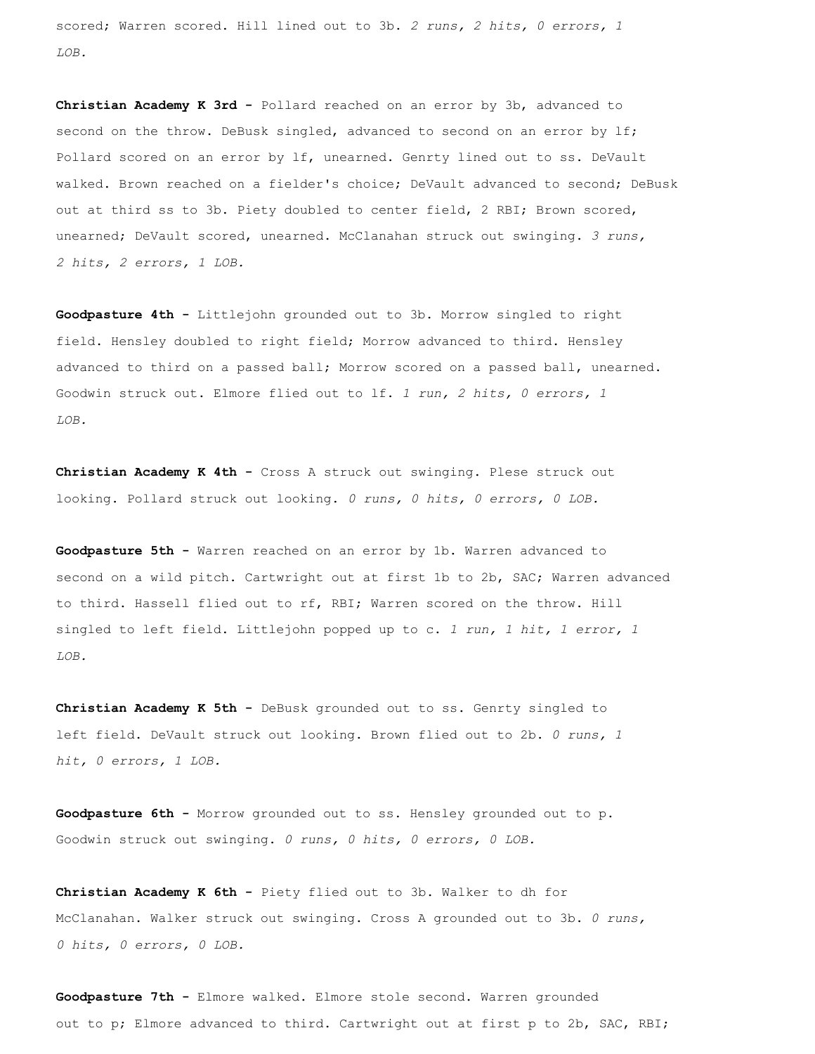scored; Warren scored. Hill lined out to 3b. *2 runs, 2 hits, 0 errors, 1 LOB.*

**Christian Academy K 3rd -** Pollard reached on an error by 3b, advanced to second on the throw. DeBusk singled, advanced to second on an error by 1f; Pollard scored on an error by lf, unearned. Genrty lined out to ss. DeVault walked. Brown reached on a fielder's choice; DeVault advanced to second; DeBusk out at third ss to 3b. Piety doubled to center field, 2 RBI; Brown scored, unearned; DeVault scored, unearned. McClanahan struck out swinging. *3 runs, 2 hits, 2 errors, 1 LOB.*

**Goodpasture 4th -** Littlejohn grounded out to 3b. Morrow singled to right field. Hensley doubled to right field; Morrow advanced to third. Hensley advanced to third on a passed ball; Morrow scored on a passed ball, unearned. Goodwin struck out. Elmore flied out to lf. *1 run, 2 hits, 0 errors, 1 LOB.*

**Christian Academy K 4th -** Cross A struck out swinging. Plese struck out looking. Pollard struck out looking. *0 runs, 0 hits, 0 errors, 0 LOB.*

**Goodpasture 5th -** Warren reached on an error by 1b. Warren advanced to second on a wild pitch. Cartwright out at first 1b to 2b, SAC; Warren advanced to third. Hassell flied out to rf, RBI; Warren scored on the throw. Hill singled to left field. Littlejohn popped up to c. *1 run, 1 hit, 1 error, 1 LOB.*

**Christian Academy K 5th -** DeBusk grounded out to ss. Genrty singled to left field. DeVault struck out looking. Brown flied out to 2b. *0 runs, 1 hit, 0 errors, 1 LOB.*

**Goodpasture 6th -** Morrow grounded out to ss. Hensley grounded out to p. Goodwin struck out swinging. *0 runs, 0 hits, 0 errors, 0 LOB.*

**Christian Academy K 6th -** Piety flied out to 3b. Walker to dh for McClanahan. Walker struck out swinging. Cross A grounded out to 3b. *0 runs, 0 hits, 0 errors, 0 LOB.*

**Goodpasture 7th -** Elmore walked. Elmore stole second. Warren grounded out to p; Elmore advanced to third. Cartwright out at first p to 2b, SAC, RBI;